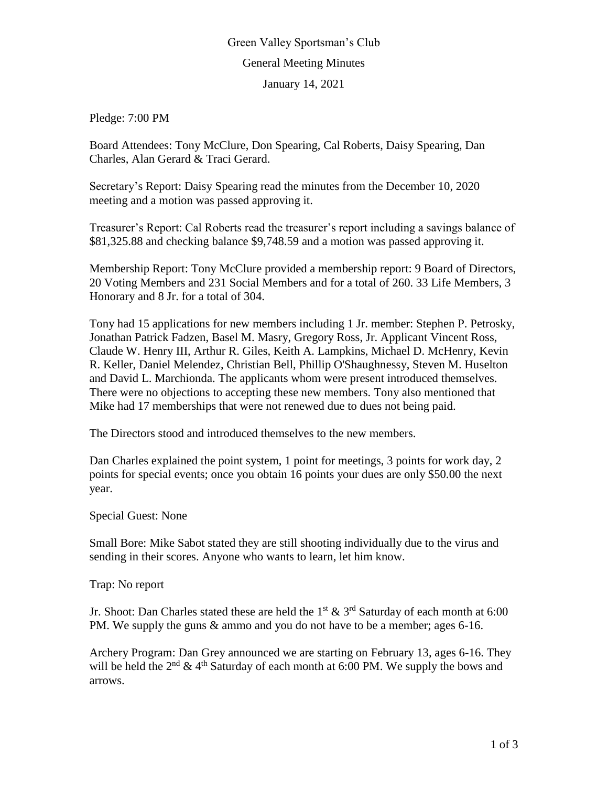## Green Valley Sportsman's Club General Meeting Minutes

January 14, 2021

Pledge: 7:00 PM

Board Attendees: Tony McClure, Don Spearing, Cal Roberts, Daisy Spearing, Dan Charles, Alan Gerard & Traci Gerard.

Secretary's Report: Daisy Spearing read the minutes from the December 10, 2020 meeting and a motion was passed approving it.

Treasurer's Report: Cal Roberts read the treasurer's report including a savings balance of \$81,325.88 and checking balance \$9,748.59 and a motion was passed approving it.

Membership Report: Tony McClure provided a membership report: 9 Board of Directors, 20 Voting Members and 231 Social Members and for a total of 260. 33 Life Members, 3 Honorary and 8 Jr. for a total of 304.

Tony had 15 applications for new members including 1 Jr. member: Stephen P. Petrosky, Jonathan Patrick Fadzen, Basel M. Masry, Gregory Ross, Jr. Applicant Vincent Ross, Claude W. Henry III, Arthur R. Giles, Keith A. Lampkins, Michael D. McHenry, Kevin R. Keller, Daniel Melendez, Christian Bell, Phillip O'Shaughnessy, Steven M. Huselton and David L. Marchionda. The applicants whom were present introduced themselves. There were no objections to accepting these new members. Tony also mentioned that Mike had 17 memberships that were not renewed due to dues not being paid.

The Directors stood and introduced themselves to the new members.

Dan Charles explained the point system, 1 point for meetings, 3 points for work day, 2 points for special events; once you obtain 16 points your dues are only \$50.00 the next year.

Special Guest: None

Small Bore: Mike Sabot stated they are still shooting individually due to the virus and sending in their scores. Anyone who wants to learn, let him know.

Trap: No report

Jr. Shoot: Dan Charles stated these are held the 1<sup>st</sup>  $\&$  3<sup>rd</sup> Saturday of each month at 6:00 PM. We supply the guns & ammo and you do not have to be a member; ages 6-16.

Archery Program: Dan Grey announced we are starting on February 13, ages 6-16. They will be held the  $2<sup>nd</sup> \& 4<sup>th</sup>$  Saturday of each month at 6:00 PM. We supply the bows and arrows.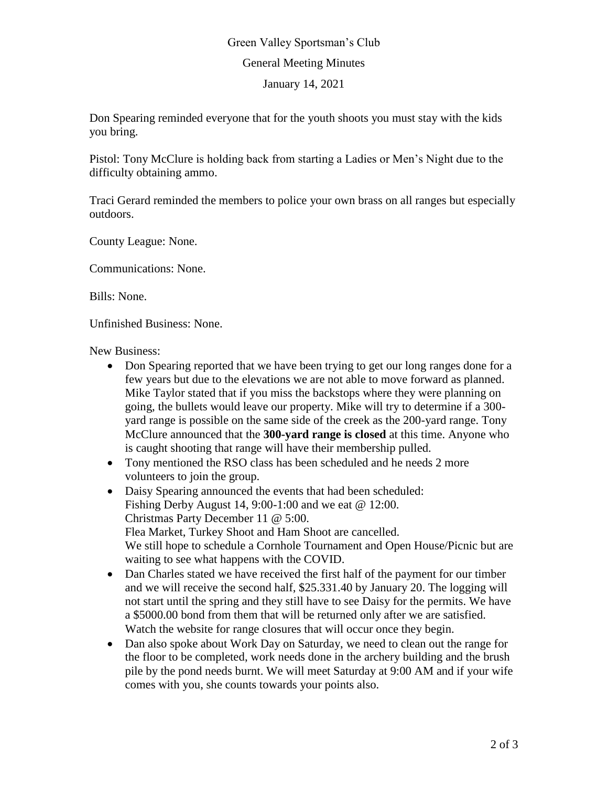## Green Valley Sportsman's Club General Meeting Minutes January 14, 2021

Don Spearing reminded everyone that for the youth shoots you must stay with the kids you bring.

Pistol: Tony McClure is holding back from starting a Ladies or Men's Night due to the difficulty obtaining ammo.

Traci Gerard reminded the members to police your own brass on all ranges but especially outdoors.

County League: None.

Communications: None.

Bills: None.

Unfinished Business: None.

New Business:

- Don Spearing reported that we have been trying to get our long ranges done for a few years but due to the elevations we are not able to move forward as planned. Mike Taylor stated that if you miss the backstops where they were planning on going, the bullets would leave our property. Mike will try to determine if a 300 yard range is possible on the same side of the creek as the 200-yard range. Tony McClure announced that the **300-yard range is closed** at this time. Anyone who is caught shooting that range will have their membership pulled.
- Tony mentioned the RSO class has been scheduled and he needs 2 more volunteers to join the group.
- Daisy Spearing announced the events that had been scheduled: Fishing Derby August 14, 9:00-1:00 and we eat @ 12:00. Christmas Party December 11 @ 5:00. Flea Market, Turkey Shoot and Ham Shoot are cancelled. We still hope to schedule a Cornhole Tournament and Open House/Picnic but are waiting to see what happens with the COVID.
- Dan Charles stated we have received the first half of the payment for our timber and we will receive the second half, \$25.331.40 by January 20. The logging will not start until the spring and they still have to see Daisy for the permits. We have a \$5000.00 bond from them that will be returned only after we are satisfied. Watch the website for range closures that will occur once they begin.
- Dan also spoke about Work Day on Saturday, we need to clean out the range for the floor to be completed, work needs done in the archery building and the brush pile by the pond needs burnt. We will meet Saturday at 9:00 AM and if your wife comes with you, she counts towards your points also.